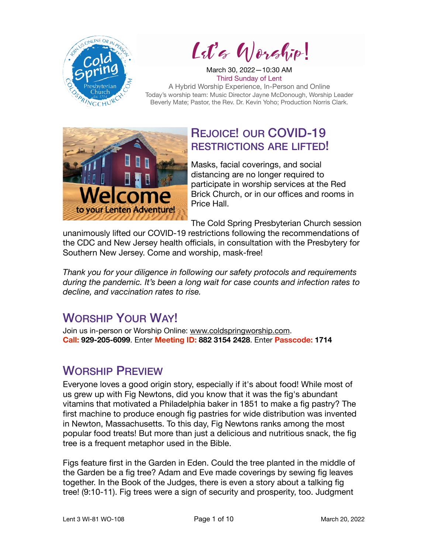

Let's Worship!

March 30, 2022—10:30 AM Third Sunday of Lent A Hybrid Worship Experience, In-Person and Online Today's worship team: Music Director Jayne McDonough, Worship Leader Beverly Mate; Pastor, the Rev. Dr. Kevin Yoho; Production Norris Clark.



## REJOICE! OUR COVID-19 RESTRICTIONS ARE LIFTED!

Masks, facial coverings, and social distancing are no longer required to participate in worship services at the Red Brick Church, or in our offices and rooms in Price Hall.

The Cold Spring Presbyterian Church session

unanimously lifted our COVID-19 restrictions following the recommendations of the CDC and New Jersey health officials, in consultation with the Presbytery for Southern New Jersey. Come and worship, mask-free!

*Thank you for your diligence in following our safety protocols and requirements during the pandemic. It's been a long wait for case counts and infection rates to decline, and vaccination rates to rise.* 

# WORSHIP YOUR WAY!

Join us in-person or Worship Online: [www.coldspringworship.com.](http://www.coldspringworship.com) **Call: 929-205-6099**. Enter **Meeting ID: 882 3154 2428**. Enter **Passcode: 1714**

## WORSHIP PREVIEW

Everyone loves a good origin story, especially if it's about food! While most of us grew up with Fig Newtons, did you know that it was the fig's abundant vitamins that motivated a Philadelphia baker in 1851 to make a fig pastry? The first machine to produce enough fig pastries for wide distribution was invented in Newton, Massachusetts. To this day, Fig Newtons ranks among the most popular food treats! But more than just a delicious and nutritious snack, the fig tree is a frequent metaphor used in the Bible.

Figs feature first in the Garden in Eden. Could the tree planted in the middle of the Garden be a fig tree? Adam and Eve made coverings by sewing fig leaves together. In the Book of the Judges, there is even a story about a talking fig tree! (9:10-11). Fig trees were a sign of security and prosperity, too. Judgment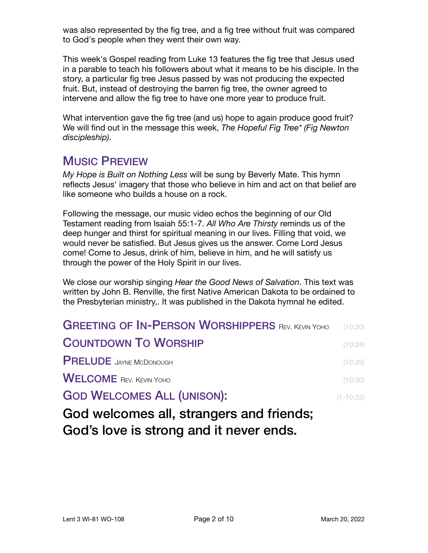was also represented by the fig tree, and a fig tree without fruit was compared to God's people when they went their own way.

This week's Gospel reading from Luke 13 features the fig tree that Jesus used in a parable to teach his followers about what it means to be his disciple. In the story, a particular fig tree Jesus passed by was not producing the expected fruit. But, instead of destroying the barren fig tree, the owner agreed to intervene and allow the fig tree to have one more year to produce fruit.

What intervention gave the fig tree (and us) hope to again produce good fruit? We will find out in the message this week, *The Hopeful Fig Tree\* (Fig Newton discipleship)*.

### MUSIC PREVIEW

*My Hope is Built on Nothing Less* will be sung by Beverly Mate. This hymn reflects Jesus' imagery that those who believe in him and act on that belief are like someone who builds a house on a rock.

Following the message, our music video echos the beginning of our Old Testament reading from Isaiah 55:1-7. *All Who Are Thirsty* reminds us of the deep hunger and thirst for spiritual meaning in our lives. Filling that void, we would never be satisfied. But Jesus gives us the answer. Come Lord Jesus come! Come to Jesus, drink of him, believe in him, and he will satisfy us through the power of the Holy Spirit in our lives.

We close our worship singing *Hear the Good News of Salvation*. This text was written by John B. Renville, the first Native American Dakota to be ordained to the Presbyterian ministry,. It was published in the Dakota hymnal he edited.

| <b>GREETING OF IN-PERSON WORSHIPPERS REV. KEVIN YOHO</b> (10:20) |               |
|------------------------------------------------------------------|---------------|
| <b>COUNTDOWN TO WORSHIP</b>                                      | (10:24)       |
| <b>PRELUDE</b> JAYNE MCDONOUGH                                   | (10:29)       |
| <b>WELCOME</b> REV. KEVIN YOHO                                   | (10:30)       |
| <b>GOD WELCOMES ALL (UNISON):</b>                                | $(1 - 10:32)$ |
| God welcomes all strangers and friends.                          |               |

 $\sigma$ Gonnes all, strangers and friends, God's love is strong and it never ends.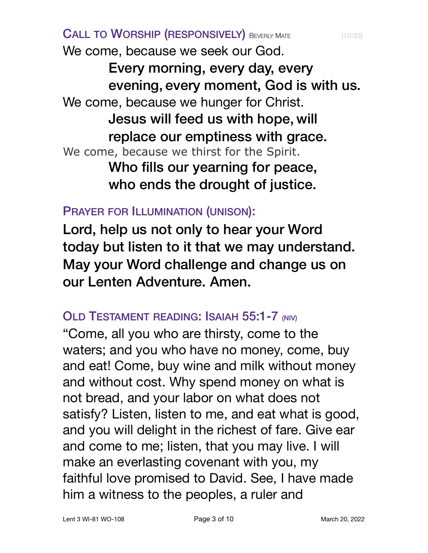CALL TO WORSHIP (RESPONSIVELY) BEVERLY MATE (10:33) We come, because we seek our God. Every morning, every day, every evening, every moment, God is with us. We come, because we hunger for Christ. Jesus will feed us with hope, will replace our emptiness with grace. We come, because we thirst for the Spirit. Who fills our yearning for peace, who ends the drought of justice.

PRAYER FOR ILLUMINATION (UNISON):

Lord, help us not only to hear your Word today but listen to it that we may understand. May your Word challenge and change us on our Lenten Adventure. Amen.

## OLD TESTAMENT READING: ISAIAH 55:1-7 (NIV)

"Come, all you who are thirsty, come to the waters; and you who have no money, come, buy and eat! Come, buy wine and milk without money and without cost. Why spend money on what is not bread, and your labor on what does not satisfy? Listen, listen to me, and eat what is good, and you will delight in the richest of fare. Give ear and come to me; listen, that you may live. I will make an everlasting covenant with you, my faithful love promised to David. See, I have made him a witness to the peoples, a ruler and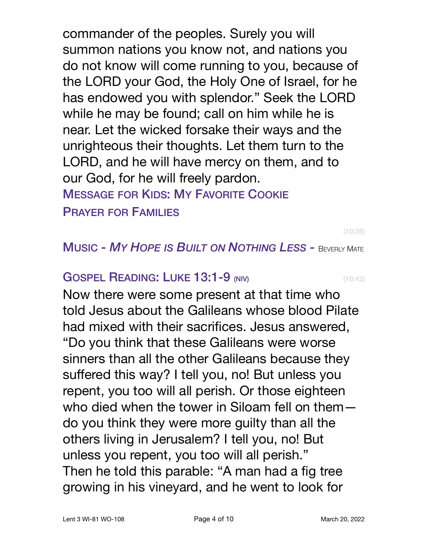commander of the peoples. Surely you will summon nations you know not, and nations you do not know will come running to you, because of the LORD your God, the Holy One of Israel, for he has endowed you with splendor." Seek the LORD while he may be found; call on him while he is near. Let the wicked forsake their ways and the unrighteous their thoughts. Let them turn to the LORD, and he will have mercy on them, and to our God, for he will freely pardon. MESSAGE FOR KIDS: MY FAVORITE COOKIE PRAYER FOR FAMILIES

(10:35)

#### MUSIC - *MY HOPE IS BUILT ON NOTHING LESS -* BEVERLY MATE

#### **GOSPEL READING: LUKE 13:1-9 (NIV)** (10:42)

Now there were some present at that time who told Jesus about the Galileans whose blood Pilate had mixed with their sacrifices. Jesus answered, "Do you think that these Galileans were worse sinners than all the other Galileans because they suffered this way? I tell you, no! But unless you repent, you too will all perish. Or those eighteen who died when the tower in Siloam fell on them do you think they were more guilty than all the others living in Jerusalem? I tell you, no! But unless you repent, you too will all perish." Then he told this parable: "A man had a fig tree growing in his vineyard, and he went to look for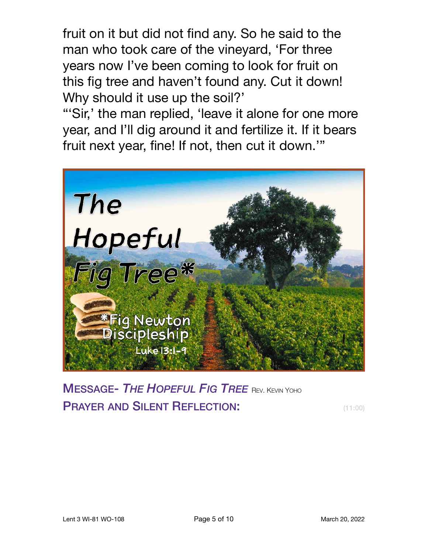fruit on it but did not find any. So he said to the man who took care of the vineyard, 'For three years now I've been coming to look for fruit on this fig tree and haven't found any. Cut it down! Why should it use up the soil?'

"'Sir,' the man replied, 'leave it alone for one more year, and I'll dig around it and fertilize it. If it bears fruit next year, fine! If not, then cut it down.'"



MESSAGE- *THE HOPEFUL FIG TREE* REV. KEVIN YOHO **PRAYER AND SILENT REFLECTION:** (11:00)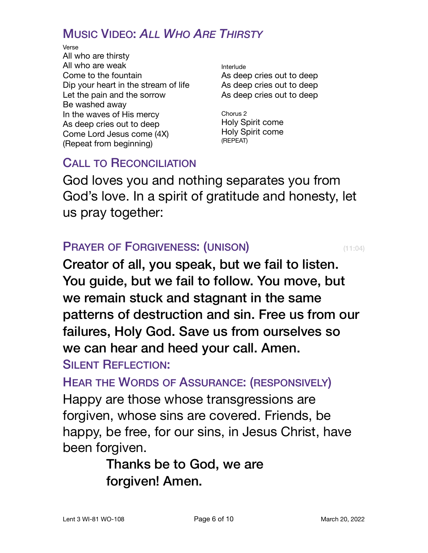## MUSIC VIDEO: *ALL WHO ARE THIRSTY*

Verse All who are thirsty All who are weak Come to the fountain Dip your heart in the stream of life Let the pain and the sorrow Be washed away In the waves of His mercy As deep cries out to deep Come Lord Jesus come (4X) (Repeat from beginning)

Interlude As deep cries out to deep As deep cries out to deep As deep cries out to deep

Chorus 2 Holy Spirit come Holy Spirit come (REPEAT)

## CALL TO RECONCILIATION

God loves you and nothing separates you from God's love. In a spirit of gratitude and honesty, let us pray together:

#### **PRAYER OF FORGIVENESS: (UNISON)** (11:04)

Creator of all, you speak, but we fail to listen. You guide, but we fail to follow. You move, but we remain stuck and stagnant in the same patterns of destruction and sin. Free us from our failures, Holy God. Save us from ourselves so we can hear and heed your call. Amen.

### **SILENT REFLECTION:**

HEAR THE WORDS OF ASSURANCE: (RESPONSIVELY)

Happy are those whose transgressions are forgiven, whose sins are covered. Friends, be happy, be free, for our sins, in Jesus Christ, have been forgiven.

> Thanks be to God, we are forgiven! Amen.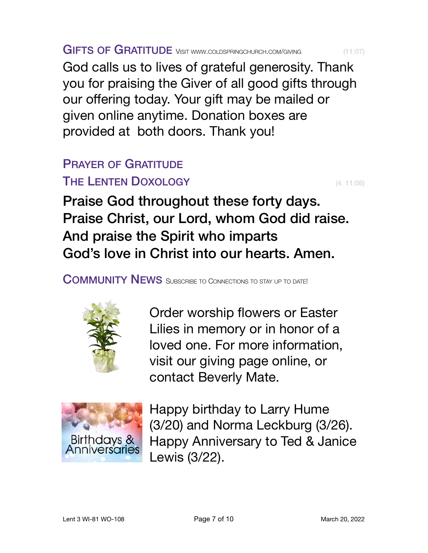God calls us to lives of grateful generosity. Thank you for praising the Giver of all good gifts through our offering today. Your gift may be mailed or given [online](https://www.coldspringchurch.com/giving) anytime. Donation boxes are provided at both doors. Thank you!

# PRAYER OF GRATITUDE

## THE LENTEN DOXOLOGY **EXECUTER SERVICES** (4. 11:08)

Praise God throughout these forty days. Praise Christ, our Lord, whom God did raise. And praise the Spirit who imparts God's love in Christ into our hearts. Amen.

COMMUNITY NEWS SUBSCRIBE TO CONNECTIONS TO STAY UP TO DATE!

Order worship flowers or Easter Lilies in memory or in honor of a loved one. For more information, visit our giving page online, or contact Beverly Mate.





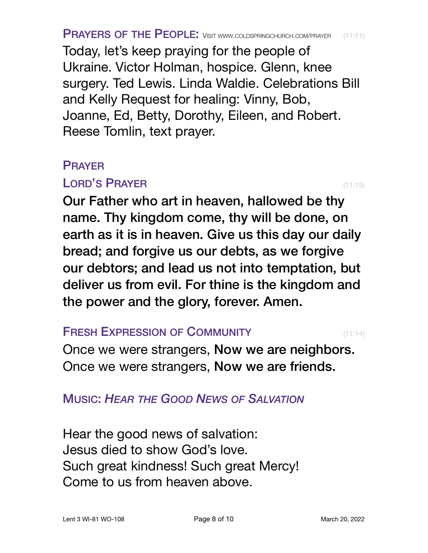Today, let's keep praying for the people of Ukraine. Victor Holman, hospice. Glenn, knee surgery. Ted Lewis. Linda Waldie. Celebrations Bill and Kelly Request for healing: Vinny, Bob, Joanne, Ed, Betty, Dorothy, Eileen, and Robert. Reese Tomlin, text prayer.

#### PRAYER

#### LORD'S PRAYER (11:15)

Our Father who art in heaven, hallowed be thy name. Thy kingdom come, thy will be done, on earth as it is in heaven. Give us this day our daily bread; and forgive us our debts, as we forgive our debtors; and lead us not into temptation, but deliver us from evil. For thine is the kingdom and the power and the glory, forever. Amen.

#### **FRESH EXPRESSION OF COMMUNITY** (11:14)

Once we were strangers, Now we are neighbors. Once we were strangers, Now we are friends.

### MUSIC: *HEAR THE GOOD NEWS OF SALVATION*

Hear the good news of salvation: Jesus died to show God's love. Such great kindness! Such great Mercy! Come to us from heaven above.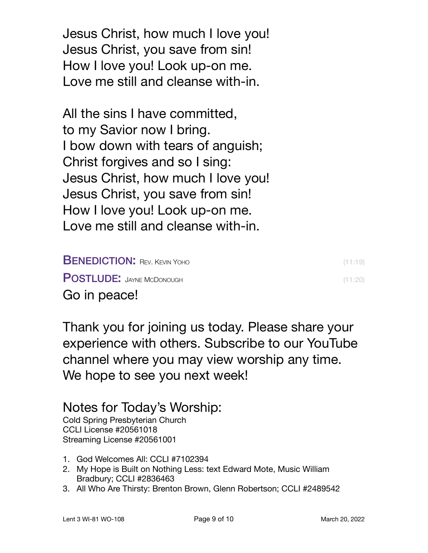Jesus Christ, how much I love you! Jesus Christ, you save from sin! How I love you! Look up-on me. Love me still and cleanse with-in.

All the sins I have committed, to my Savior now I bring. I bow down with tears of anguish; Christ forgives and so I sing: Jesus Christ, how much I love you! Jesus Christ, you save from sin! How I love you! Look up-on me. Love me still and cleanse with-in.

| <b>BENEDICTION: REV. KEVIN YOHO</b> | (11:19) |
|-------------------------------------|---------|
| <b>POSTLUDE: JAYNE MCDONOUGH</b>    | (11:20) |
| Go in peace!                        |         |

Thank you for joining us today. Please share your experience with others. Subscribe to our YouTube channel where you may view worship any time. We hope to see you next week!

## Notes for Today's Worship:

Cold Spring Presbyterian Church CCLI License #20561018 Streaming License #20561001

- 1. God Welcomes All: CCLI #7102394
- 2. My Hope is Built on Nothing Less: text Edward Mote, Music William Bradbury; CCLI #2836463
- 3. All Who Are Thirsty: Brenton Brown, Glenn Robertson; CCLI #2489542